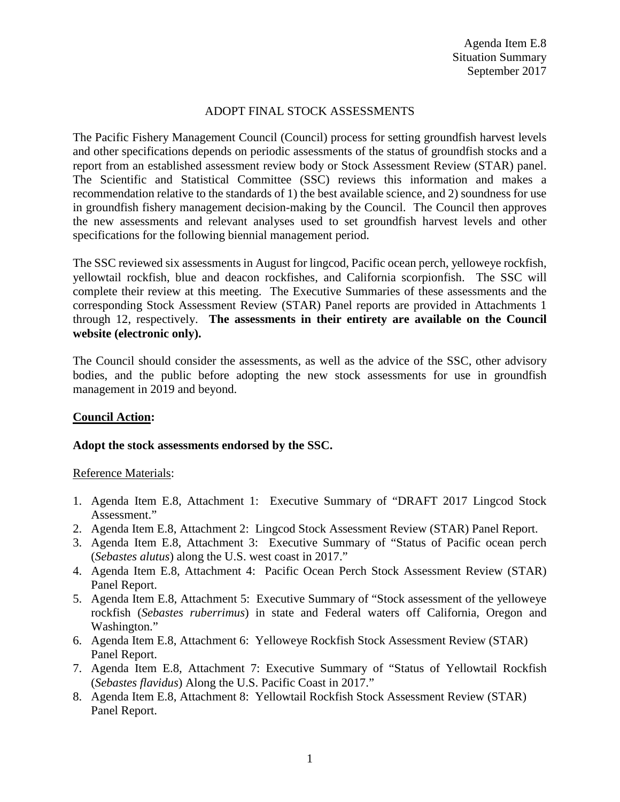# ADOPT FINAL STOCK ASSESSMENTS

The Pacific Fishery Management Council (Council) process for setting groundfish harvest levels and other specifications depends on periodic assessments of the status of groundfish stocks and a report from an established assessment review body or Stock Assessment Review (STAR) panel. The Scientific and Statistical Committee (SSC) reviews this information and makes a recommendation relative to the standards of 1) the best available science, and 2) soundness for use in groundfish fishery management decision-making by the Council. The Council then approves the new assessments and relevant analyses used to set groundfish harvest levels and other specifications for the following biennial management period.

The SSC reviewed six assessments in August for lingcod, Pacific ocean perch, yelloweye rockfish, yellowtail rockfish, blue and deacon rockfishes, and California scorpionfish. The SSC will complete their review at this meeting. The Executive Summaries of these assessments and the corresponding Stock Assessment Review (STAR) Panel reports are provided in Attachments 1 through 12, respectively. **The assessments in their entirety are available on the Council website (electronic only).** 

The Council should consider the assessments, as well as the advice of the SSC, other advisory bodies, and the public before adopting the new stock assessments for use in groundfish management in 2019 and beyond.

# **Council Action:**

## **Adopt the stock assessments endorsed by the SSC.**

## Reference Materials:

- 1. Agenda Item E.8, Attachment 1: Executive Summary of "DRAFT 2017 Lingcod Stock Assessment."
- 2. Agenda Item E.8, Attachment 2: Lingcod Stock Assessment Review (STAR) Panel Report.
- 3. Agenda Item E.8, Attachment 3: Executive Summary of "Status of Pacific ocean perch (*Sebastes alutus*) along the U.S. west coast in 2017."
- 4. Agenda Item E.8, Attachment 4: Pacific Ocean Perch Stock Assessment Review (STAR) Panel Report.
- 5. Agenda Item E.8, Attachment 5: Executive Summary of "Stock assessment of the yelloweye rockfish (*Sebastes ruberrimus*) in state and Federal waters off California, Oregon and Washington."
- 6. Agenda Item E.8, Attachment 6: Yelloweye Rockfish Stock Assessment Review (STAR) Panel Report.
- 7. Agenda Item E.8, Attachment 7: Executive Summary of "Status of Yellowtail Rockfish (*Sebastes flavidus*) Along the U.S. Pacific Coast in 2017."
- 8. Agenda Item E.8, Attachment 8: Yellowtail Rockfish Stock Assessment Review (STAR) Panel Report.